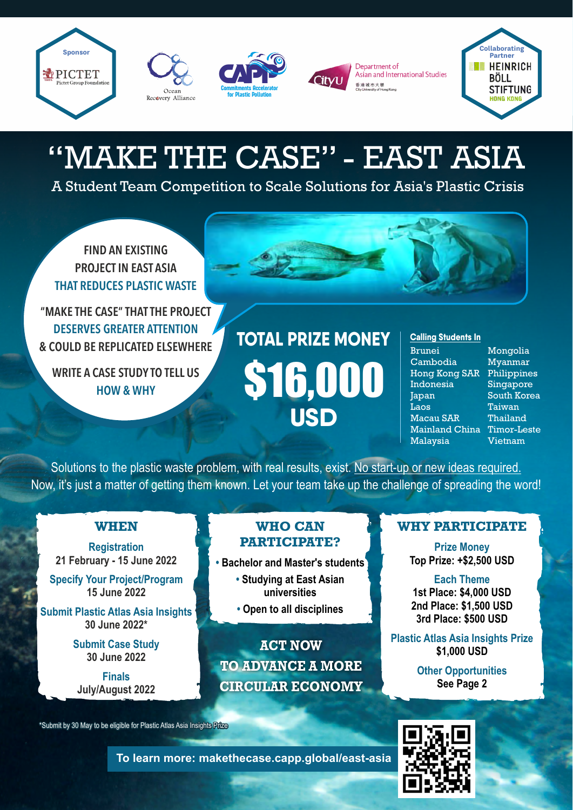







Department of Asian and International Studies 香港城市大學<br>City University of Hong Kong



## "MAKE THE CASE" - EAST ASIA

A Student Team Competition to Scale Solutions for Asia's Plastic Crisis

FIND AN EXISTING PROJECT IN EAST ASIA THAT REDUCES PLASTIC WASTE

"MAKE THE CASE" THAT THE PROJECT DESERVES GREATER ATTENTION & COULD BE REPLICATED ELSEWHERE

WRITE A CASE STUDY TO TELL US HOW & WHY

### \$16,000 **USD Calling Students In TOTAL PRIZE MONEY**

Brunei Cambodia Hong Kong SAR Philippines **Indonesia** Japan **Laos** Macau SAR Mainland China Timor-Leste Malaysia

Mongolia Myanmar Singapore South Korea Taiwan Thailand Vietnam

Solutions to the plastic waste problem, with real results, exist. No start-up or new ideas required. Now, it's just a matter of getting them known. Let your team take up the challenge of spreading the word!

#### **WHEN**

**Registration 21 February - 15 June 2022**

**Specify Your Project/Program 15 June 2022**

**Submit Plastic Atlas Asia Insights 30 June 2022\***

> **Submit Case Study 30 June 2022**

**Finals July/August 2022**

#### **WHO CAN PARTICIPATE?**

- **Bachelor and Master's students** 
	- **Studying at East Asian universities**
	- **Open to all disciplines**

**ACT NOW TO ADVANCE A MORE CIRCULAR ECONOMY**

**To learn more: makethecase.capp.global/east-asia**

#### **WHY PARTICIPATE**

**Prize Money Top Prize: +\$2,500 USD**

**Each Theme 1st Place: \$4,000 USD 2nd Place: \$1,500 USD 3rd Place: \$500 USD**

**Plastic Atlas Asia Insights Prize \$1,000 USD**

> **Other Opportunities See Page 2**

\*Submit by 30 May to be eligible for Plastic Atlas Asia Insights Prize